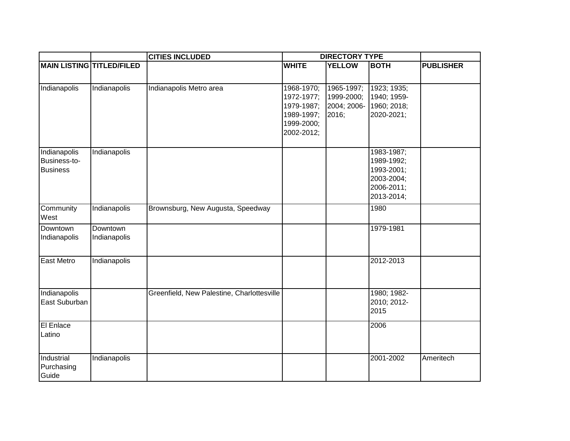|                   |                                  | <b>CITIES INCLUDED</b>                     |              | <b>DIRECTORY TYPE</b> |             |                  |
|-------------------|----------------------------------|--------------------------------------------|--------------|-----------------------|-------------|------------------|
|                   | <b>MAIN LISTING TITLED/FILED</b> |                                            | <b>WHITE</b> | <b>YELLOW</b>         | <b>BOTH</b> | <b>PUBLISHER</b> |
|                   |                                  |                                            |              |                       |             |                  |
| Indianapolis      | Indianapolis                     | Indianapolis Metro area                    | 1968-1970;   | 1965-1997;            | 1923; 1935; |                  |
|                   |                                  |                                            | 1972-1977;   | 1999-2000;            | 1940; 1959- |                  |
|                   |                                  |                                            | 1979-1987;   | 2004; 2006-           | 1960; 2018; |                  |
|                   |                                  |                                            | 1989-1997;   | 2016;                 | 2020-2021;  |                  |
|                   |                                  |                                            | 1999-2000;   |                       |             |                  |
|                   |                                  |                                            | 2002-2012;   |                       |             |                  |
| Indianapolis      | Indianapolis                     |                                            |              |                       | 1983-1987;  |                  |
| Business-to-      |                                  |                                            |              |                       | 1989-1992;  |                  |
| <b>Business</b>   |                                  |                                            |              |                       | 1993-2001;  |                  |
|                   |                                  |                                            |              |                       | 2003-2004;  |                  |
|                   |                                  |                                            |              |                       | 2006-2011;  |                  |
|                   |                                  |                                            |              |                       | 2013-2014;  |                  |
| Community<br>West | Indianapolis                     | Brownsburg, New Augusta, Speedway          |              |                       | 1980        |                  |
| Downtown          | Downtown                         |                                            |              |                       | 1979-1981   |                  |
| Indianapolis      | Indianapolis                     |                                            |              |                       |             |                  |
| <b>East Metro</b> | Indianapolis                     |                                            |              |                       | 2012-2013   |                  |
|                   |                                  |                                            |              |                       |             |                  |
| Indianapolis      |                                  | Greenfield, New Palestine, Charlottesville |              |                       | 1980; 1982- |                  |
| East Suburban     |                                  |                                            |              |                       | 2010; 2012- |                  |
|                   |                                  |                                            |              |                       | 2015        |                  |
| <b>El Enlace</b>  |                                  |                                            |              |                       | 2006        |                  |
| Latino            |                                  |                                            |              |                       |             |                  |
| Industrial        | Indianapolis                     |                                            |              |                       | 2001-2002   | Ameritech        |
| Purchasing        |                                  |                                            |              |                       |             |                  |
| Guide             |                                  |                                            |              |                       |             |                  |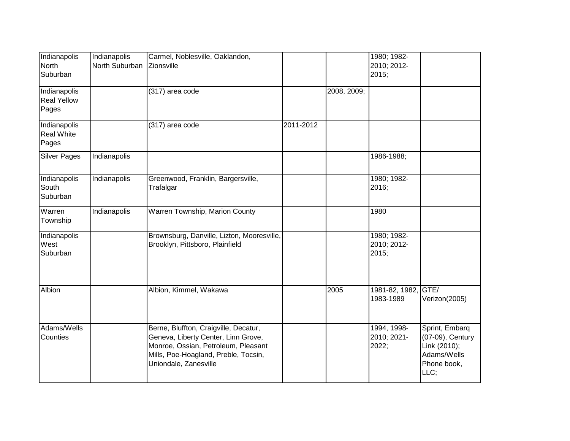| Indianapolis<br>North<br>Suburban           | Indianapolis<br>North Suburban | Carmel, Noblesville, Oaklandon,<br>Zionsville                                                                                                                                        |           |             | 1980; 1982-<br>2010; 2012-<br>2015; |                                                                                          |
|---------------------------------------------|--------------------------------|--------------------------------------------------------------------------------------------------------------------------------------------------------------------------------------|-----------|-------------|-------------------------------------|------------------------------------------------------------------------------------------|
| Indianapolis<br><b>Real Yellow</b><br>Pages |                                | (317) area code                                                                                                                                                                      |           | 2008, 2009; |                                     |                                                                                          |
| Indianapolis<br><b>Real White</b><br>Pages  |                                | (317) area code                                                                                                                                                                      | 2011-2012 |             |                                     |                                                                                          |
| <b>Silver Pages</b>                         | Indianapolis                   |                                                                                                                                                                                      |           |             | 1986-1988;                          |                                                                                          |
| Indianapolis<br>South<br>Suburban           | Indianapolis                   | Greenwood, Franklin, Bargersville,<br>Trafalgar                                                                                                                                      |           |             | 1980; 1982-<br>2016;                |                                                                                          |
| Warren<br>Township                          | Indianapolis                   | Warren Township, Marion County                                                                                                                                                       |           |             | 1980                                |                                                                                          |
| Indianapolis<br>West<br>Suburban            |                                | Brownsburg, Danville, Lizton, Mooresville,<br>Brooklyn, Pittsboro, Plainfield                                                                                                        |           |             | 1980; 1982-<br>2010; 2012-<br>2015; |                                                                                          |
| Albion                                      |                                | Albion, Kimmel, Wakawa                                                                                                                                                               |           | 2005        | 1981-82, 1982, GTE/<br>1983-1989    | Verizon(2005)                                                                            |
| Adams/Wells<br>Counties                     |                                | Berne, Bluffton, Craigville, Decatur,<br>Geneva, Liberty Center, Linn Grove,<br>Monroe, Ossian, Petroleum, Pleasant<br>Mills, Poe-Hoagland, Preble, Tocsin,<br>Uniondale, Zanesville |           |             | 1994, 1998-<br>2010; 2021-<br>2022; | Sprint, Embarg<br>(07-09), Century<br>Link (2010);<br>Adams/Wells<br>Phone book,<br>LLC; |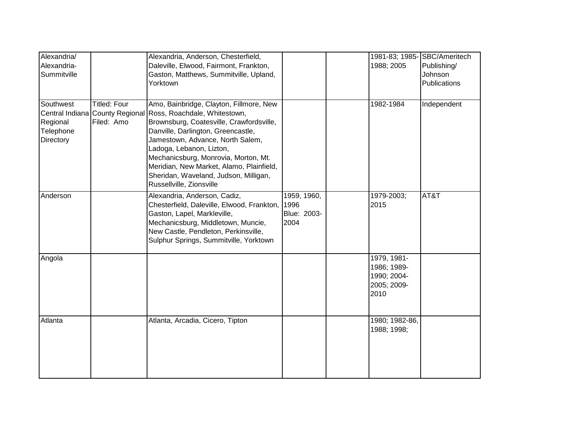| Alexandria/ |                                 | Alexandria, Anderson, Chesterfield,        |             | 1981-83; 1985- | SBC/Ameritech |
|-------------|---------------------------------|--------------------------------------------|-------------|----------------|---------------|
| Alexandria- |                                 | Daleville, Elwood, Fairmont, Frankton,     |             | 1988; 2005     | Publishing/   |
| Summitville |                                 | Gaston, Matthews, Summitville, Upland,     |             |                | Johnson       |
|             |                                 | Yorktown                                   |             |                | Publications  |
|             |                                 |                                            |             |                |               |
| Southwest   | <b>Titled: Four</b>             | Amo, Bainbridge, Clayton, Fillmore, New    |             | 1982-1984      | Independent   |
|             | Central Indiana County Regional | Ross, Roachdale, Whitestown,               |             |                |               |
| Regional    | Filed: Amo                      | Brownsburg, Coatesville, Crawfordsville,   |             |                |               |
| Telephone   |                                 | Danville, Darlington, Greencastle,         |             |                |               |
| Directory   |                                 | Jamestown, Advance, North Salem,           |             |                |               |
|             |                                 | Ladoga, Lebanon, Lizton,                   |             |                |               |
|             |                                 | Mechanicsburg, Monrovia, Morton, Mt.       |             |                |               |
|             |                                 | Meridian, New Market, Alamo, Plainfield,   |             |                |               |
|             |                                 | Sheridan, Waveland, Judson, Milligan,      |             |                |               |
|             |                                 | Russellville, Zionsville                   |             |                |               |
| Anderson    |                                 | Alexandria, Anderson, Cadiz,               | 1959, 1960, | 1979-2003;     | AT&T          |
|             |                                 | Chesterfield, Daleville, Elwood, Frankton, | 1996        | 2015           |               |
|             |                                 | Gaston, Lapel, Markleville,                | Blue: 2003- |                |               |
|             |                                 | Mechanicsburg, Middletown, Muncie,         | 2004        |                |               |
|             |                                 | New Castle, Pendleton, Perkinsville,       |             |                |               |
|             |                                 | Sulphur Springs, Summitville, Yorktown     |             |                |               |
| Angola      |                                 |                                            |             | 1979, 1981-    |               |
|             |                                 |                                            |             | 1986; 1989-    |               |
|             |                                 |                                            |             | 1990; 2004-    |               |
|             |                                 |                                            |             | 2005; 2009-    |               |
|             |                                 |                                            |             | 2010           |               |
|             |                                 |                                            |             |                |               |
|             |                                 |                                            |             |                |               |
| Atlanta     |                                 | Atlanta, Arcadia, Cicero, Tipton           |             | 1980; 1982-86, |               |
|             |                                 |                                            |             | 1988; 1998;    |               |
|             |                                 |                                            |             |                |               |
|             |                                 |                                            |             |                |               |
|             |                                 |                                            |             |                |               |
|             |                                 |                                            |             |                |               |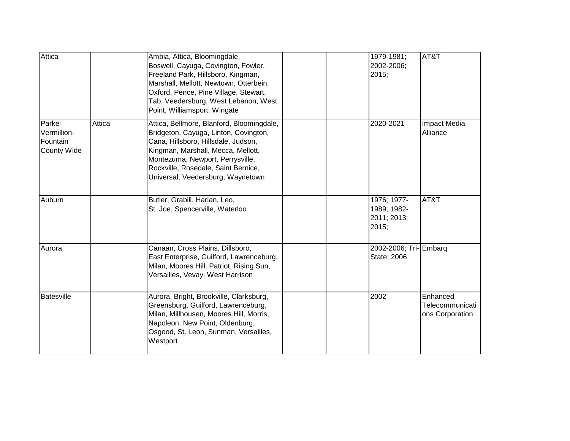| Attica                                                  |        | Ambia, Attica, Bloomingdale,<br>Boswell, Cayuga, Covington, Fowler,<br>Freeland Park, Hillsboro, Kingman,<br>Marshall, Mellott, Newtown, Otterbein,<br>Oxford, Pence, Pine Village, Stewart,<br>Tab, Veedersburg, West Lebanon, West<br>Point, Williamsport, Wingate            |  | 1979-1981;<br>2002-2006;<br>2015;                  | AT&T                                           |
|---------------------------------------------------------|--------|---------------------------------------------------------------------------------------------------------------------------------------------------------------------------------------------------------------------------------------------------------------------------------|--|----------------------------------------------------|------------------------------------------------|
| Parke-<br>Vermillion-<br>Fountain<br><b>County Wide</b> | Attica | Attica, Bellmore, Blanford, Bloomingdale,<br>Bridgeton, Cayuga, Linton, Covington,<br>Cana, Hillsboro, Hillsdale, Judson,<br>Kingman, Marshall, Mecca, Mellott,<br>Montezuma, Newport, Perrysville,<br>Rockville, Rosedale, Saint Bernice,<br>Universal, Veedersburg, Waynetown |  | 2020-2021                                          | <b>Impact Media</b><br>Alliance                |
| Auburn                                                  |        | Butler, Grabill, Harlan, Leo,<br>St. Joe, Spencerville, Waterloo                                                                                                                                                                                                                |  | 1976; 1977-<br>1989; 1982-<br>2011; 2013;<br>2015; | AT&T                                           |
| Aurora                                                  |        | Canaan, Cross Plains, Dillsboro,<br>East Enterprise, Guilford, Lawrenceburg,<br>Milan, Moores Hill, Patriot, Rising Sun,<br>Versailles, Vevay, West Harrison                                                                                                                    |  | 2002-2006; Tri-Embarg<br>State; 2006               |                                                |
| Batesville                                              |        | Aurora, Bright, Brookville, Clarksburg,<br>Greensburg, Guilford, Lawrenceburg,<br>Milan, Millhousen, Moores Hill, Morris,<br>Napoleon, New Point, Oldenburg,<br>Osgood, St. Leon, Sunman, Versailles,<br>Westport                                                               |  | 2002                                               | Enhanced<br>Telecommunicati<br>ons Corporation |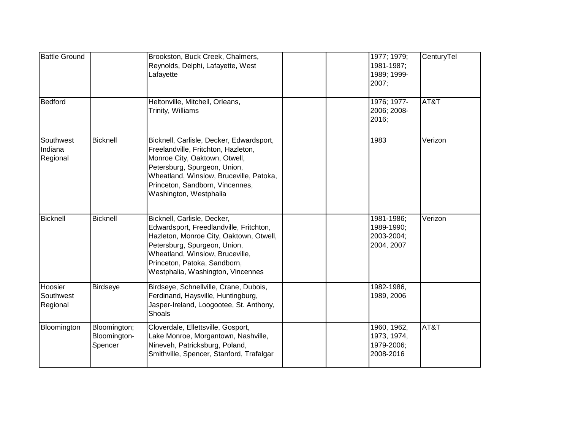| <b>Battle Ground</b>             |                                         | Brookston, Buck Creek, Chalmers,<br>Reynolds, Delphi, Lafayette, West<br>Lafayette                                                                                                                                                                        |  | 1977; 1979;<br>1981-1987;<br>1989; 1999-<br>2007;     | CenturyTel |
|----------------------------------|-----------------------------------------|-----------------------------------------------------------------------------------------------------------------------------------------------------------------------------------------------------------------------------------------------------------|--|-------------------------------------------------------|------------|
| Bedford                          |                                         | Heltonville, Mitchell, Orleans,<br>Trinity, Williams                                                                                                                                                                                                      |  | 1976; 1977-<br>2006; 2008-<br>2016;                   | AT&T       |
| Southwest<br>Indiana<br>Regional | <b>Bicknell</b>                         | Bicknell, Carlisle, Decker, Edwardsport,<br>Freelandville, Fritchton, Hazleton,<br>Monroe City, Oaktown, Otwell,<br>Petersburg, Spurgeon, Union,<br>Wheatland, Winslow, Bruceville, Patoka,<br>Princeton, Sandborn, Vincennes,<br>Washington, Westphalia  |  | 1983                                                  | Verizon    |
| Bicknell                         | <b>Bicknell</b>                         | Bicknell, Carlisle, Decker,<br>Edwardsport, Freedlandville, Fritchton,<br>Hazleton, Monroe City, Oaktown, Otwell,<br>Petersburg, Spurgeon, Union,<br>Wheatland, Winslow, Bruceville,<br>Princeton, Patoka, Sandborn,<br>Westphalia, Washington, Vincennes |  | 1981-1986;<br>1989-1990;<br>2003-2004;<br>2004, 2007  | Verizon    |
| Hoosier<br>Southwest<br>Regional | <b>Birdseye</b>                         | Birdseye, Schnellville, Crane, Dubois,<br>Ferdinand, Haysville, Huntingburg,<br>Jasper-Ireland, Loogootee, St. Anthony,<br><b>Shoals</b>                                                                                                                  |  | 1982-1986,<br>1989, 2006                              |            |
| Bloomington                      | Bloomington;<br>Bloomington-<br>Spencer | Cloverdale, Ellettsville, Gosport,<br>Lake Monroe, Morgantown, Nashville,<br>Nineveh, Patricksburg, Poland,<br>Smithville, Spencer, Stanford, Trafalgar                                                                                                   |  | 1960, 1962,<br>1973, 1974,<br>1979-2006;<br>2008-2016 | AT&T       |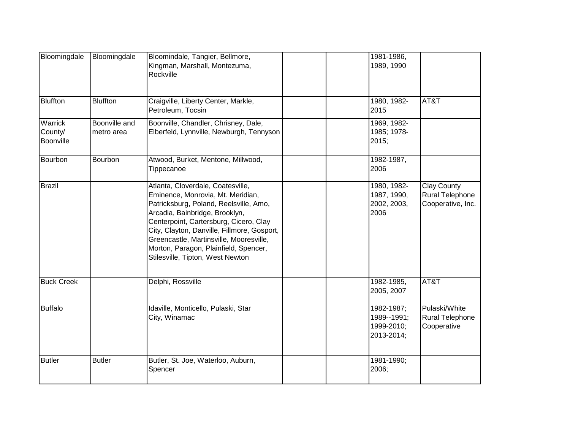| Bloomingdale                    | Bloomingdale                | Bloomindale, Tangier, Bellmore,<br>Kingman, Marshall, Montezuma,<br>Rockville                                                                                                                                                                                                                                                                                       |  | 1981-1986,<br>1989, 1990                              |                                                            |
|---------------------------------|-----------------------------|---------------------------------------------------------------------------------------------------------------------------------------------------------------------------------------------------------------------------------------------------------------------------------------------------------------------------------------------------------------------|--|-------------------------------------------------------|------------------------------------------------------------|
| <b>Bluffton</b>                 | <b>Bluffton</b>             | Craigville, Liberty Center, Markle,<br>Petroleum, Tocsin                                                                                                                                                                                                                                                                                                            |  | 1980, 1982-<br>2015                                   | AT&T                                                       |
| Warrick<br>County/<br>Boonville | Boonville and<br>metro area | Boonville, Chandler, Chrisney, Dale,<br>Elberfeld, Lynnville, Newburgh, Tennyson                                                                                                                                                                                                                                                                                    |  | 1969, 1982-<br>1985; 1978-<br>2015;                   |                                                            |
| Bourbon                         | Bourbon                     | Atwood, Burket, Mentone, Millwood,<br>Tippecanoe                                                                                                                                                                                                                                                                                                                    |  | 1982-1987,<br>2006                                    |                                                            |
| <b>Brazil</b>                   |                             | Atlanta, Cloverdale, Coatesville,<br>Eminence, Monrovia, Mt. Meridian,<br>Patricksburg, Poland, Reelsville, Amo,<br>Arcadia, Bainbridge, Brooklyn,<br>Centerpoint, Cartersburg, Cicero, Clay<br>City, Clayton, Danville, Fillmore, Gosport,<br>Greencastle, Martinsville, Mooresville,<br>Morton, Paragon, Plainfield, Spencer,<br>Stilesville, Tipton, West Newton |  | 1980, 1982-<br>1987, 1990,<br>2002, 2003,<br>2006     | <b>Clay County</b><br>Rural Telephone<br>Cooperative, Inc. |
| <b>Buck Creek</b>               |                             | Delphi, Rossville                                                                                                                                                                                                                                                                                                                                                   |  | 1982-1985,<br>2005, 2007                              | AT&T                                                       |
| <b>Buffalo</b>                  |                             | Idaville, Monticello, Pulaski, Star<br>City, Winamac                                                                                                                                                                                                                                                                                                                |  | 1982-1987;<br>1989--1991;<br>1999-2010;<br>2013-2014; | Pulaski/White<br><b>Rural Telephone</b><br>Cooperative     |
| <b>Butler</b>                   | <b>Butler</b>               | Butler, St. Joe, Waterloo, Auburn,<br>Spencer                                                                                                                                                                                                                                                                                                                       |  | 1981-1990;<br>2006;                                   |                                                            |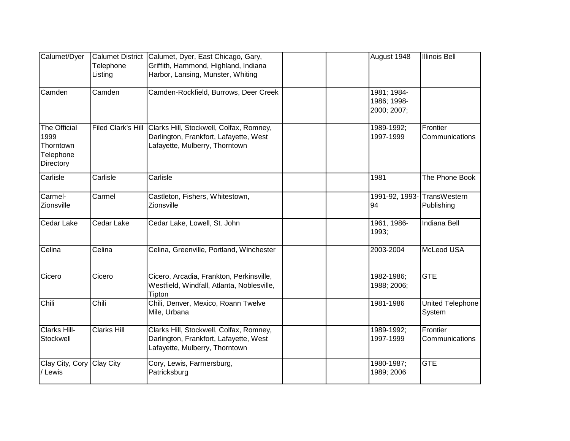| Calumet/Dyer        | <b>Calumet District</b> | Calumet, Dyer, East Chicago, Gary,                                                |  | August 1948                 | <b>Illinois Bell</b>       |
|---------------------|-------------------------|-----------------------------------------------------------------------------------|--|-----------------------------|----------------------------|
|                     | Telephone               | Griffith, Hammond, Highland, Indiana                                              |  |                             |                            |
|                     | Listing                 | Harbor, Lansing, Munster, Whiting                                                 |  |                             |                            |
|                     |                         |                                                                                   |  |                             |                            |
| Camden              | Camden                  | Camden-Rockfield, Burrows, Deer Creek                                             |  | 1981; 1984-                 |                            |
|                     |                         |                                                                                   |  | 1986; 1998-                 |                            |
|                     |                         |                                                                                   |  | 2000; 2007;                 |                            |
| <b>The Official</b> |                         |                                                                                   |  |                             |                            |
| 1999                | Filed Clark's Hill      | Clarks Hill, Stockwell, Colfax, Romney,<br>Darlington, Frankfort, Lafayette, West |  | 1989-1992;<br>1997-1999     | Frontier<br>Communications |
| Thorntown           |                         | Lafayette, Mulberry, Thorntown                                                    |  |                             |                            |
| Telephone           |                         |                                                                                   |  |                             |                            |
| Directory           |                         |                                                                                   |  |                             |                            |
|                     |                         |                                                                                   |  |                             |                            |
| Carlisle            | Carlisle                | Carlisle                                                                          |  | 1981                        | The Phone Book             |
| Carmel-             | Carmel                  | Castleton, Fishers, Whitestown,                                                   |  | 1991-92, 1993- TransWestern |                            |
| Zionsville          |                         | Zionsville                                                                        |  | 94                          | Publishing                 |
|                     |                         |                                                                                   |  |                             |                            |
| <b>Cedar Lake</b>   | Cedar Lake              | Cedar Lake, Lowell, St. John                                                      |  | 1961, 1986-                 | <b>Indiana Bell</b>        |
|                     |                         |                                                                                   |  | 1993;                       |                            |
| Celina              | Celina                  | Celina, Greenville, Portland, Winchester                                          |  | 2003-2004                   | McLeod USA                 |
|                     |                         |                                                                                   |  |                             |                            |
|                     |                         |                                                                                   |  |                             |                            |
| Cicero              | Cicero                  | Cicero, Arcadia, Frankton, Perkinsville,                                          |  | 1982-1986;                  | <b>GTE</b>                 |
|                     |                         | Westfield, Windfall, Atlanta, Noblesville,                                        |  | 1988; 2006;                 |                            |
|                     |                         | Tipton                                                                            |  |                             |                            |
| Chili               | Chili                   | Chili, Denver, Mexico, Roann Twelve                                               |  | 1981-1986                   | United Telephone           |
|                     |                         | Mile, Urbana                                                                      |  |                             | System                     |
| <b>Clarks Hill-</b> | <b>Clarks Hill</b>      | Clarks Hill, Stockwell, Colfax, Romney,                                           |  | 1989-1992;                  | Frontier                   |
| Stockwell           |                         | Darlington, Frankfort, Lafayette, West                                            |  | 1997-1999                   | Communications             |
|                     |                         | Lafayette, Mulberry, Thorntown                                                    |  |                             |                            |
| Clay City, Cory     | <b>Clay City</b>        | Cory, Lewis, Farmersburg,                                                         |  | 1980-1987;                  | <b>GTE</b>                 |
| /Lewis              |                         | Patricksburg                                                                      |  | 1989; 2006                  |                            |
|                     |                         |                                                                                   |  |                             |                            |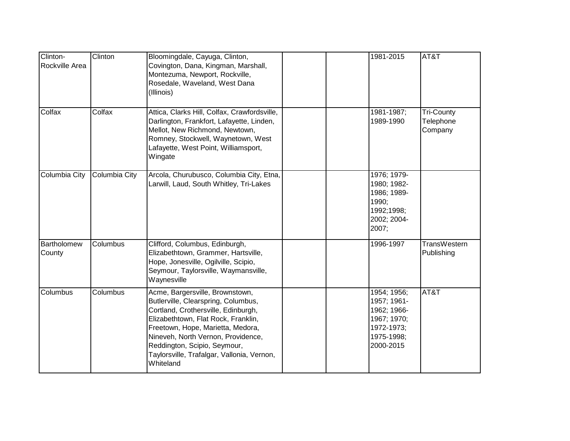| Clinton-<br>Rockville Area | Clinton       | Bloomingdale, Cayuga, Clinton,<br>Covington, Dana, Kingman, Marshall,<br>Montezuma, Newport, Rockville,<br>Rosedale, Waveland, West Dana<br>(Illinois)                                                                                                                                                                     | 1981-2015                                                                                         | AT&T                                      |
|----------------------------|---------------|----------------------------------------------------------------------------------------------------------------------------------------------------------------------------------------------------------------------------------------------------------------------------------------------------------------------------|---------------------------------------------------------------------------------------------------|-------------------------------------------|
| Colfax                     | Colfax        | Attica, Clarks Hill, Colfax, Crawfordsville,<br>Darlington, Frankfort, Lafayette, Linden,<br>Mellot, New Richmond, Newtown,<br>Romney, Stockwell, Waynetown, West<br>Lafayette, West Point, Williamsport,<br>Wingate                                                                                                       | 1981-1987;<br>1989-1990                                                                           | <b>Tri-County</b><br>Telephone<br>Company |
| <b>Columbia City</b>       | Columbia City | Arcola, Churubusco, Columbia City, Etna,<br>Larwill, Laud, South Whitley, Tri-Lakes                                                                                                                                                                                                                                        | 1976; 1979-<br>1980; 1982-<br>1986; 1989-<br>1990;<br>1992;1998;<br>2002; 2004-<br>2007;          |                                           |
| Bartholomew<br>County      | Columbus      | Clifford, Columbus, Edinburgh,<br>Elizabethtown, Grammer, Hartsville,<br>Hope, Jonesville, Ogilville, Scipio,<br>Seymour, Taylorsville, Waymansville,<br>Waynesville                                                                                                                                                       | 1996-1997                                                                                         | TransWestern<br>Publishing                |
| Columbus                   | Columbus      | Acme, Bargersville, Brownstown,<br>Butlerville, Clearspring, Columbus,<br>Cortland, Crothersville, Edinburgh,<br>Elizabethtown, Flat Rock, Franklin,<br>Freetown, Hope, Marietta, Medora,<br>Nineveh, North Vernon, Providence,<br>Reddington, Scipio, Seymour,<br>Taylorsville, Trafalgar, Vallonia, Vernon,<br>Whiteland | 1954; 1956;<br>1957; 1961-<br>1962; 1966-<br>1967; 1970;<br>1972-1973;<br>1975-1998;<br>2000-2015 | AT&T                                      |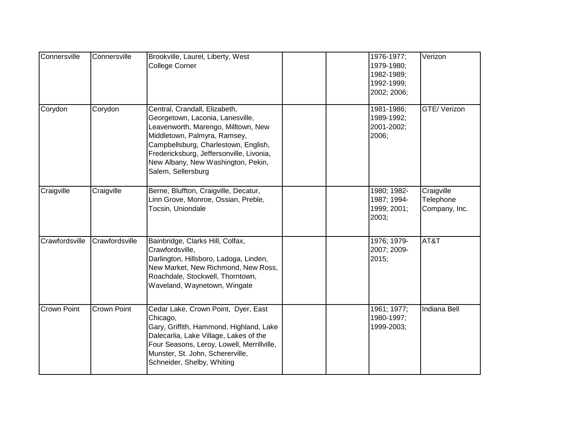| Connersville   | Connersville       | Brookville, Laurel, Liberty, West<br>College Corner                                                                                                                                                                                                                                      |  | 1976-1977;<br>1979-1980;<br>1982-1989;<br>1992-1999;<br>2002; 2006; | Verizon                                  |
|----------------|--------------------|------------------------------------------------------------------------------------------------------------------------------------------------------------------------------------------------------------------------------------------------------------------------------------------|--|---------------------------------------------------------------------|------------------------------------------|
| Corydon        | Corydon            | Central, Crandall, Elizabeth,<br>Georgetown, Laconia, Lanesville,<br>Leavenworth, Marengo, Milltown, New<br>Middletown, Palmyra, Ramsey,<br>Campbellsburg, Charlestown, English,<br>Fredericksburg, Jeffersonville, Livonia,<br>New Albany, New Washington, Pekin,<br>Salem, Sellersburg |  | 1981-1986;<br>1989-1992;<br>2001-2002;<br>2006;                     | GTE/Verizon                              |
| Craigville     | Craigville         | Berne, Bluffton, Craigville, Decatur,<br>Linn Grove, Monroe, Ossian, Preble,<br>Tocsin, Uniondale                                                                                                                                                                                        |  | 1980; 1982-<br>1987; 1994-<br>1999; 2001;<br>2003;                  | Craigville<br>Telephone<br>Company, Inc. |
| Crawfordsville | Crawfordsville     | Bainbridge, Clarks Hill, Colfax,<br>Crawfordsville,<br>Darlington, Hillsboro, Ladoga, Linden,<br>New Market, New Richmond, New Ross,<br>Roachdale, Stockwell, Thorntown,<br>Waveland, Waynetown, Wingate                                                                                 |  | 1976; 1979-<br>2007; 2009-<br>2015:                                 | AT&T                                     |
| Crown Point    | <b>Crown Point</b> | Cedar Lake, Crown Point, Dyer, East<br>Chicago,<br>Gary, Griffith, Hammond, Highland, Lake<br>Dalecarlia, Lake Village, Lakes of the<br>Four Seasons, Leroy, Lowell, Merrillville,<br>Munster, St. John, Schererville,<br>Schneider, Shelby, Whiting                                     |  | 1961; 1977;<br>1980-1997;<br>1999-2003;                             | Indiana Bell                             |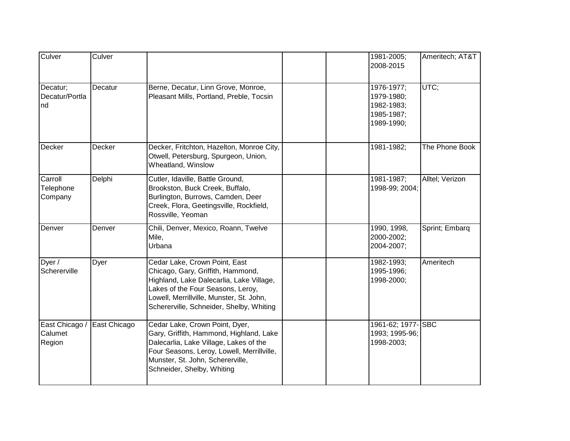| Culver                            | Culver       |                                                                                                                                                                                                                                             |  | 1981-2005;<br>2008-2015                                            | Ameritech; AT&T |
|-----------------------------------|--------------|---------------------------------------------------------------------------------------------------------------------------------------------------------------------------------------------------------------------------------------------|--|--------------------------------------------------------------------|-----------------|
| Decatur;<br>Decatur/Portla<br>nd  | Decatur      | Berne, Decatur, Linn Grove, Monroe,<br>Pleasant Mills, Portland, Preble, Tocsin                                                                                                                                                             |  | 1976-1977;<br>1979-1980;<br>1982-1983;<br>1985-1987;<br>1989-1990; | UTC;            |
| Decker                            | Decker       | Decker, Fritchton, Hazelton, Monroe City,<br>Otwell, Petersburg, Spurgeon, Union,<br>Wheatland, Winslow                                                                                                                                     |  | 1981-1982;                                                         | The Phone Book  |
| Carroll<br>Telephone<br>Company   | Delphi       | Cutler, Idaville, Battle Ground,<br>Brookston, Buck Creek, Buffalo,<br>Burlington, Burrows, Camden, Deer<br>Creek, Flora, Geetingsville, Rockfield,<br>Rossville, Yeoman                                                                    |  | 1981-1987;<br>1998-99; 2004;                                       | Alltel; Verizon |
| Denver                            | Denver       | Chili, Denver, Mexico, Roann, Twelve<br>Mile,<br>Urbana                                                                                                                                                                                     |  | 1990, 1998,<br>2000-2002;<br>2004-2007;                            | Sprint; Embarg  |
| Dyer /<br>Schererville            | Dyer         | Cedar Lake, Crown Point, East<br>Chicago, Gary, Griffith, Hammond,<br>Highland, Lake Dalecarlia, Lake Village,<br>Lakes of the Four Seasons, Leroy,<br>Lowell, Merrillville, Munster, St. John,<br>Schererville, Schneider, Shelby, Whiting |  | 1982-1993;<br>1995-1996;<br>1998-2000;                             | Ameritech       |
| East Chicago<br>Calumet<br>Region | East Chicago | Cedar Lake, Crown Point, Dyer,<br>Gary, Griffith, Hammond, Highland, Lake<br>Dalecarlia, Lake Village, Lakes of the<br>Four Seasons, Leroy, Lowell, Merrillville,<br>Munster, St. John, Schererville,<br>Schneider, Shelby, Whiting         |  | 1961-62; 1977-SBC<br>1993; 1995-96;<br>1998-2003;                  |                 |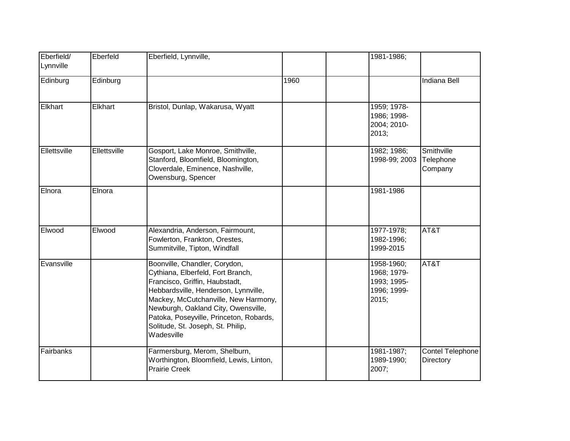| Eberfield/<br>Lynnville | Eberfeld     | Eberfield, Lynnville,                                                                                                                                                                                                                                                                                                     |      | 1981-1986;                                                       |                                    |
|-------------------------|--------------|---------------------------------------------------------------------------------------------------------------------------------------------------------------------------------------------------------------------------------------------------------------------------------------------------------------------------|------|------------------------------------------------------------------|------------------------------------|
| Edinburg                | Edinburg     |                                                                                                                                                                                                                                                                                                                           | 1960 |                                                                  | <b>Indiana Bell</b>                |
| Elkhart                 | Elkhart      | Bristol, Dunlap, Wakarusa, Wyatt                                                                                                                                                                                                                                                                                          |      | 1959; 1978-<br>1986; 1998-<br>2004; 2010-<br>2013;               |                                    |
| Ellettsville            | Ellettsville | Gosport, Lake Monroe, Smithville,<br>Stanford, Bloomfield, Bloomington,<br>Cloverdale, Eminence, Nashville,<br>Owensburg, Spencer                                                                                                                                                                                         |      | 1982; 1986;<br>1998-99; 2003                                     | Smithville<br>Telephone<br>Company |
| Elnora                  | Elnora       |                                                                                                                                                                                                                                                                                                                           |      | 1981-1986                                                        |                                    |
| Elwood                  | Elwood       | Alexandria, Anderson, Fairmount,<br>Fowlerton, Frankton, Orestes,<br>Summitville, Tipton, Windfall                                                                                                                                                                                                                        |      | 1977-1978;<br>1982-1996;<br>1999-2015                            | AT&T                               |
| Evansville              |              | Boonville, Chandler, Corydon,<br>Cythiana, Elberfeld, Fort Branch,<br>Francisco, Griffin, Haubstadt,<br>Hebbardsville, Henderson, Lynnville,<br>Mackey, McCutchanville, New Harmony,<br>Newburgh, Oakland City, Owensville,<br>Patoka, Poseyville, Princeton, Robards,<br>Solitude, St. Joseph, St. Philip,<br>Wadesville |      | 1958-1960;<br>1968; 1979-<br>1993; 1995-<br>1996; 1999-<br>2015; | AT&T                               |
| Fairbanks               |              | Farmersburg, Merom, Shelburn,<br>Worthington, Bloomfield, Lewis, Linton,<br><b>Prairie Creek</b>                                                                                                                                                                                                                          |      | 1981-1987;<br>1989-1990;<br>2007;                                | Contel Telephone<br>Directory      |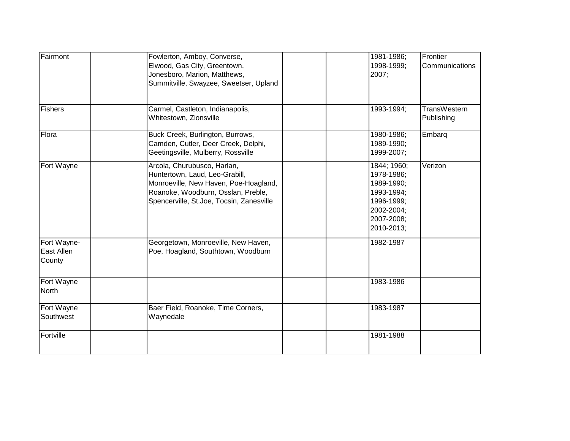| Fairmont                            | Fowlerton, Amboy, Converse,<br>Elwood, Gas City, Greentown,<br>Jonesboro, Marion, Matthews,<br>Summitville, Swayzee, Sweetser, Upland                                                    | 1981-1986;<br>1998-1999;<br>2007;                                                                             | Frontier<br>Communications        |
|-------------------------------------|------------------------------------------------------------------------------------------------------------------------------------------------------------------------------------------|---------------------------------------------------------------------------------------------------------------|-----------------------------------|
| Fishers                             | Carmel, Castleton, Indianapolis,<br>Whitestown, Zionsville                                                                                                                               | 1993-1994;                                                                                                    | <b>TransWestern</b><br>Publishing |
| Flora                               | Buck Creek, Burlington, Burrows,<br>Camden, Cutler, Deer Creek, Delphi,<br>Geetingsville, Mulberry, Rossville                                                                            | 1980-1986;<br>1989-1990;<br>1999-2007;                                                                        | Embarg                            |
| Fort Wayne                          | Arcola, Churubusco, Harlan,<br>Huntertown, Laud, Leo-Grabill,<br>Monroeville, New Haven, Poe-Hoagland,<br>Roanoke, Woodburn, Osslan, Preble,<br>Spencerville, St.Joe, Tocsin, Zanesville | 1844; 1960;<br>1978-1986;<br>1989-1990;<br>1993-1994;<br>1996-1999;<br>2002-2004;<br>2007-2008;<br>2010-2013; | Verizon                           |
| Fort Wayne-<br>East Allen<br>County | Georgetown, Monroeville, New Haven,<br>Poe, Hoagland, Southtown, Woodburn                                                                                                                | 1982-1987                                                                                                     |                                   |
| Fort Wayne<br><b>North</b>          |                                                                                                                                                                                          | 1983-1986                                                                                                     |                                   |
| Fort Wayne<br>Southwest             | Baer Field, Roanoke, Time Corners,<br>Waynedale                                                                                                                                          | 1983-1987                                                                                                     |                                   |
| Fortville                           |                                                                                                                                                                                          | 1981-1988                                                                                                     |                                   |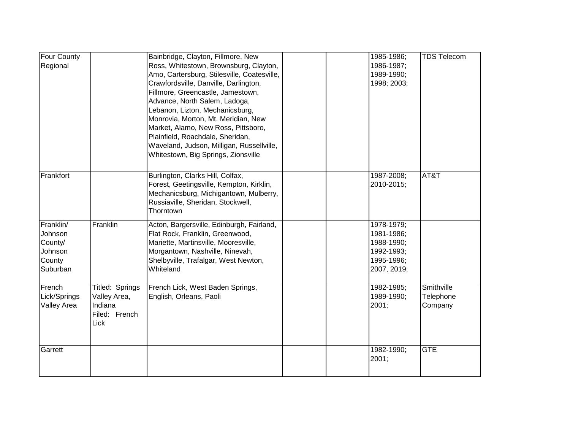| Four County<br>Regional                                          |                                                                     | Bainbridge, Clayton, Fillmore, New<br>Ross, Whitestown, Brownsburg, Clayton,<br>Amo, Cartersburg, Stilesville, Coatesville,<br>Crawfordsville, Danville, Darlington,<br>Fillmore, Greencastle, Jamestown,<br>Advance, North Salem, Ladoga,<br>Lebanon, Lizton, Mechanicsburg,<br>Monrovia, Morton, Mt. Meridian, New<br>Market, Alamo, New Ross, Pittsboro,<br>Plainfield, Roachdale, Sheridan,<br>Waveland, Judson, Milligan, Russellville,<br>Whitestown, Big Springs, Zionsville |  | 1985-1986;<br>1986-1987;<br>1989-1990;<br>1998; 2003;                             | <b>TDS Telecom</b>                 |
|------------------------------------------------------------------|---------------------------------------------------------------------|-------------------------------------------------------------------------------------------------------------------------------------------------------------------------------------------------------------------------------------------------------------------------------------------------------------------------------------------------------------------------------------------------------------------------------------------------------------------------------------|--|-----------------------------------------------------------------------------------|------------------------------------|
| Frankfort                                                        |                                                                     | Burlington, Clarks Hill, Colfax,<br>Forest, Geetingsville, Kempton, Kirklin,<br>Mechanicsburg, Michigantown, Mulberry,<br>Russiaville, Sheridan, Stockwell,<br>Thorntown                                                                                                                                                                                                                                                                                                            |  | 1987-2008;<br>2010-2015;                                                          | AT&T                               |
| Franklin/<br>Johnson<br>County/<br>Johnson<br>County<br>Suburban | Franklin                                                            | Acton, Bargersville, Edinburgh, Fairland,<br>Flat Rock, Franklin, Greenwood,<br>Mariette, Martinsville, Mooresville,<br>Morgantown, Nashville, Ninevah,<br>Shelbyville, Trafalgar, West Newton,<br>Whiteland                                                                                                                                                                                                                                                                        |  | 1978-1979;<br>1981-1986;<br>1988-1990;<br>1992-1993;<br>1995-1996;<br>2007, 2019; |                                    |
| French<br>Lick/Springs<br><b>Valley Area</b>                     | Titled: Springs<br>Valley Area,<br>Indiana<br>Filed: French<br>Lick | French Lick, West Baden Springs,<br>English, Orleans, Paoli                                                                                                                                                                                                                                                                                                                                                                                                                         |  | 1982-1985;<br>1989-1990;<br>2001;                                                 | Smithville<br>Telephone<br>Company |
| Garrett                                                          |                                                                     |                                                                                                                                                                                                                                                                                                                                                                                                                                                                                     |  | 1982-1990;<br>2001;                                                               | <b>GTE</b>                         |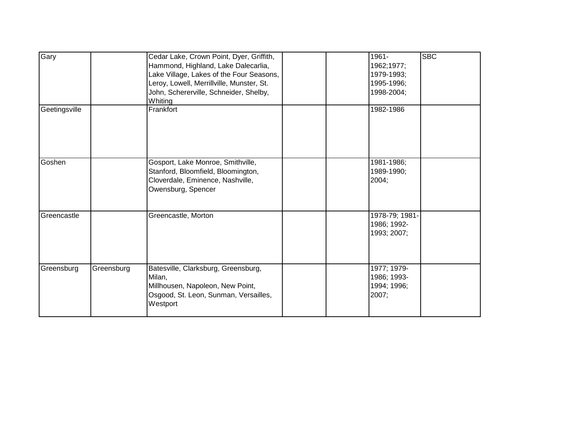| Gary          |            | Cedar Lake, Crown Point, Dyer, Griffith,<br>Hammond, Highland, Lake Dalecarlia,<br>Lake Village, Lakes of the Four Seasons,<br>Leroy, Lowell, Merrillville, Munster, St.<br>John, Schererville, Schneider, Shelby,<br>Whiting | $1961 -$<br>1962;1977;<br>1979-1993;<br>1995-1996;<br>1998-2004; | <b>SBC</b> |
|---------------|------------|-------------------------------------------------------------------------------------------------------------------------------------------------------------------------------------------------------------------------------|------------------------------------------------------------------|------------|
| Geetingsville |            | Frankfort                                                                                                                                                                                                                     | 1982-1986                                                        |            |
| Goshen        |            | Gosport, Lake Monroe, Smithville,<br>Stanford, Bloomfield, Bloomington,<br>Cloverdale, Eminence, Nashville,<br>Owensburg, Spencer                                                                                             | 1981-1986;<br>1989-1990;<br>2004;                                |            |
| Greencastle   |            | Greencastle, Morton                                                                                                                                                                                                           | 1978-79; 1981-<br>1986; 1992-<br>1993; 2007;                     |            |
| Greensburg    | Greensburg | Batesville, Clarksburg, Greensburg,<br>Milan,<br>Millhousen, Napoleon, New Point,<br>Osgood, St. Leon, Sunman, Versailles,<br>Westport                                                                                        | 1977; 1979-<br>1986; 1993-<br>1994; 1996;<br>2007;               |            |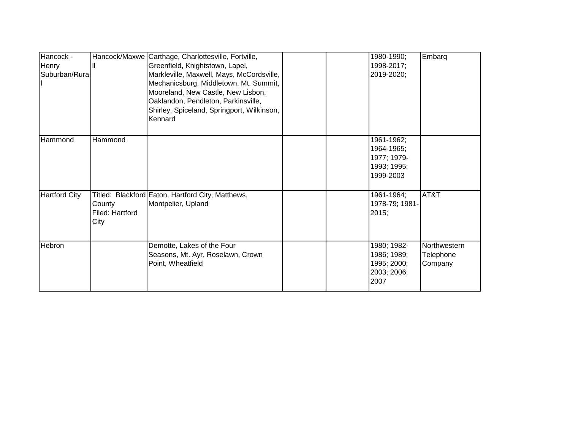| Hancock -<br>Henry<br>Suburban/Rura | III                               | Hancock/Maxwe Carthage, Charlottesville, Fortville,<br>Greenfield, Knightstown, Lapel,<br>Markleville, Maxwell, Mays, McCordsville,<br>Mechanicsburg, Middletown, Mt. Summit,<br>Mooreland, New Castle, New Lisbon,<br>Oaklandon, Pendleton, Parkinsville,<br>Shirley, Spiceland, Springport, Wilkinson,<br>Kennard |  | 1980-1990;<br>1998-2017;<br>2019-2020;                              | Embarg                               |
|-------------------------------------|-----------------------------------|---------------------------------------------------------------------------------------------------------------------------------------------------------------------------------------------------------------------------------------------------------------------------------------------------------------------|--|---------------------------------------------------------------------|--------------------------------------|
| Hammond                             | Hammond                           |                                                                                                                                                                                                                                                                                                                     |  | 1961-1962;<br>1964-1965;<br>1977; 1979-<br>1993; 1995;<br>1999-2003 |                                      |
| <b>Hartford City</b>                | County<br>Filed: Hartford<br>City | Titled: Blackford Eaton, Hartford City, Matthews,<br>Montpelier, Upland                                                                                                                                                                                                                                             |  | 1961-1964;<br>1978-79; 1981-<br>2015;                               | AT&T                                 |
| Hebron                              |                                   | Demotte, Lakes of the Four<br>Seasons, Mt. Ayr, Roselawn, Crown<br>Point, Wheatfield                                                                                                                                                                                                                                |  | 1980; 1982-<br>1986; 1989;<br>1995; 2000;<br>2003; 2006;<br>2007    | Northwestern<br>Telephone<br>Company |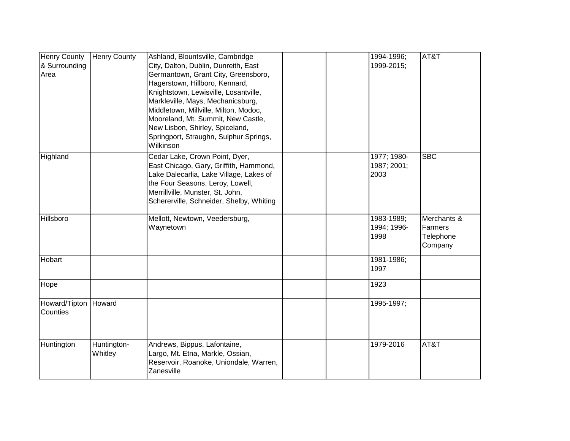| <b>Henry County</b> | <b>Henry County</b> | Ashland, Blountsville, Cambridge                                     |  | 1994-1996;  | AT&T        |
|---------------------|---------------------|----------------------------------------------------------------------|--|-------------|-------------|
| & Surrounding       |                     | City, Dalton, Dublin, Dunreith, East                                 |  | 1999-2015;  |             |
| Area                |                     | Germantown, Grant City, Greensboro,                                  |  |             |             |
|                     |                     | Hagerstown, Hillboro, Kennard,                                       |  |             |             |
|                     |                     | Knightstown, Lewisville, Losantville,                                |  |             |             |
|                     |                     | Markleville, Mays, Mechanicsburg,                                    |  |             |             |
|                     |                     | Middletown, Millville, Milton, Modoc,                                |  |             |             |
|                     |                     | Mooreland, Mt. Summit, New Castle,                                   |  |             |             |
|                     |                     | New Lisbon, Shirley, Spiceland,                                      |  |             |             |
|                     |                     | Springport, Straughn, Sulphur Springs,                               |  |             |             |
|                     |                     | Wilkinson                                                            |  |             |             |
| Highland            |                     | Cedar Lake, Crown Point, Dyer,                                       |  | 1977; 1980- | <b>SBC</b>  |
|                     |                     | East Chicago, Gary, Griffith, Hammond,                               |  | 1987; 2001; |             |
|                     |                     | Lake Dalecarlia, Lake Village, Lakes of                              |  | 2003        |             |
|                     |                     | the Four Seasons, Leroy, Lowell,<br>Merrillville, Munster, St. John, |  |             |             |
|                     |                     | Schererville, Schneider, Shelby, Whiting                             |  |             |             |
|                     |                     |                                                                      |  |             |             |
| Hillsboro           |                     | Mellott, Newtown, Veedersburg,                                       |  | 1983-1989;  | Merchants & |
|                     |                     | Waynetown                                                            |  | 1994; 1996- | Farmers     |
|                     |                     |                                                                      |  | 1998        | Telephone   |
|                     |                     |                                                                      |  |             | Company     |
| Hobart              |                     |                                                                      |  | 1981-1986;  |             |
|                     |                     |                                                                      |  | 1997        |             |
| Hope                |                     |                                                                      |  | 1923        |             |
|                     |                     |                                                                      |  |             |             |
| Howard/Tipton       | Howard              |                                                                      |  | 1995-1997;  |             |
| Counties            |                     |                                                                      |  |             |             |
|                     |                     |                                                                      |  |             |             |
|                     |                     |                                                                      |  |             |             |
| Huntington          | Huntington-         | Andrews, Bippus, Lafontaine,                                         |  | 1979-2016   | AT&T        |
|                     | Whitley             | Largo, Mt. Etna, Markle, Ossian,                                     |  |             |             |
|                     |                     | Reservoir, Roanoke, Uniondale, Warren,                               |  |             |             |
|                     |                     | Zanesville                                                           |  |             |             |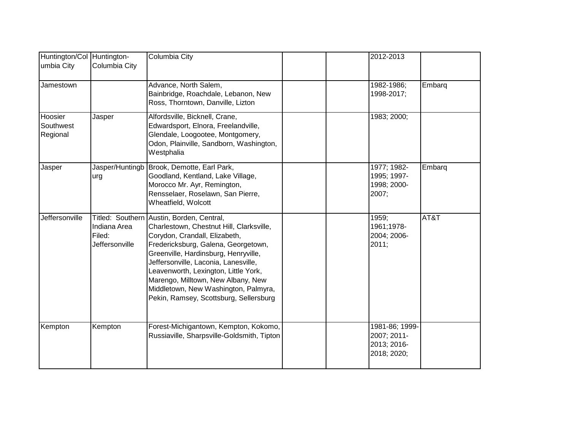| Huntington/Col Huntington-<br>umbia City | Columbia City                                                | <b>Columbia City</b>                                                                                                                                                                                                                                                                                                                                                                         |  | 2012-2013                                                   |        |
|------------------------------------------|--------------------------------------------------------------|----------------------------------------------------------------------------------------------------------------------------------------------------------------------------------------------------------------------------------------------------------------------------------------------------------------------------------------------------------------------------------------------|--|-------------------------------------------------------------|--------|
| Jamestown                                |                                                              | Advance, North Salem,<br>Bainbridge, Roachdale, Lebanon, New<br>Ross, Thorntown, Danville, Lizton                                                                                                                                                                                                                                                                                            |  | 1982-1986;<br>1998-2017;                                    | Embarg |
| Hoosier<br>Southwest<br>Regional         | Jasper                                                       | Alfordsville, Bicknell, Crane,<br>Edwardsport, Elnora, Freelandville,<br>Glendale, Loogootee, Montgomery,<br>Odon, Plainville, Sandborn, Washington,<br>Westphalia                                                                                                                                                                                                                           |  | 1983; 2000;                                                 |        |
| Jasper                                   | Jasper/Huntingb<br>urg                                       | Brook, Demotte, Earl Park,<br>Goodland, Kentland, Lake Village,<br>Morocco Mr. Ayr, Remington,<br>Rensselaer, Roselawn, San Pierre,<br>Wheatfield, Wolcott                                                                                                                                                                                                                                   |  | 1977; 1982-<br>1995; 1997-<br>1998; 2000-<br>2007;          | Embarg |
| Jeffersonville                           | Titled: Southern<br>Indiana Area<br>Filed:<br>Jeffersonville | Austin, Borden, Central,<br>Charlestown, Chestnut Hill, Clarksville,<br>Corydon, Crandall, Elizabeth,<br>Fredericksburg, Galena, Georgetown,<br>Greenville, Hardinsburg, Henryville,<br>Jeffersonville, Laconia, Lanesville,<br>Leavenworth, Lexington, Little York,<br>Marengo, Milltown, New Albany, New<br>Middletown, New Washington, Palmyra,<br>Pekin, Ramsey, Scottsburg, Sellersburg |  | 1959;<br>1961;1978-<br>2004; 2006-<br>2011;                 | AT&T   |
| Kempton                                  | Kempton                                                      | Forest-Michigantown, Kempton, Kokomo,<br>Russiaville, Sharpsville-Goldsmith, Tipton                                                                                                                                                                                                                                                                                                          |  | 1981-86; 1999-<br>2007; 2011-<br>2013; 2016-<br>2018; 2020; |        |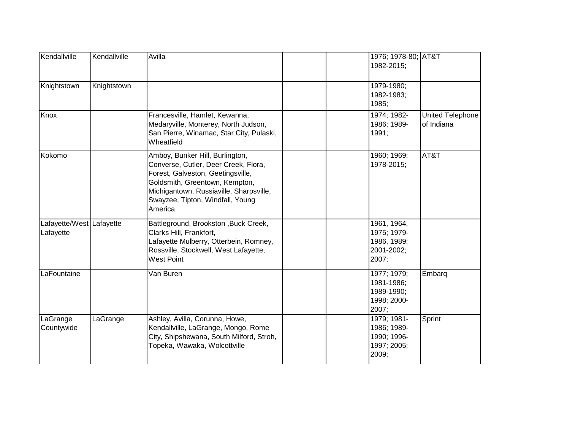| Kendallville                          | Kendallville | Avilla                                                                                                                                                                                                                                   |  | 1976; 1978-80; AT&T<br>1982-2015;                                 |                                |
|---------------------------------------|--------------|------------------------------------------------------------------------------------------------------------------------------------------------------------------------------------------------------------------------------------------|--|-------------------------------------------------------------------|--------------------------------|
| Knightstown                           | Knightstown  |                                                                                                                                                                                                                                          |  | 1979-1980;<br>1982-1983;<br>1985;                                 |                                |
| Knox                                  |              | Francesville, Hamlet, Kewanna,<br>Medaryville, Monterey, North Judson,<br>San Pierre, Winamac, Star City, Pulaski,<br>Wheatfield                                                                                                         |  | 1974; 1982-<br>1986; 1989-<br>1991;                               | United Telephone<br>of Indiana |
| Kokomo                                |              | Amboy, Bunker Hill, Burlington,<br>Converse, Cutler, Deer Creek, Flora,<br>Forest, Galveston, Geetingsville,<br>Goldsmith, Greentown, Kempton,<br>Michigantown, Russiaville, Sharpsville,<br>Swayzee, Tipton, Windfall, Young<br>America |  | 1960; 1969;<br>1978-2015;                                         | AT&T                           |
| Lafayette/West Lafayette<br>Lafayette |              | Battleground, Brookston, Buck Creek,<br>Clarks Hill, Frankfort,<br>Lafayette Mulberry, Otterbein, Romney,<br>Rossville, Stockwell, West Lafayette,<br><b>West Point</b>                                                                  |  | 1961, 1964,<br>1975; 1979-<br>1986, 1989;<br>2001-2002;<br>2007;  |                                |
| LaFountaine                           |              | Van Buren                                                                                                                                                                                                                                |  | 1977; 1979;<br>1981-1986;<br>1989-1990;<br>1998; 2000-<br>2007;   | Embarg                         |
| LaGrange<br>Countywide                | LaGrange     | Ashley, Avilla, Corunna, Howe,<br>Kendallville, LaGrange, Mongo, Rome<br>City, Shipshewana, South Milford, Stroh,<br>Topeka, Wawaka, Wolcottville                                                                                        |  | 1979; 1981-<br>1986; 1989-<br>1990; 1996-<br>1997; 2005;<br>2009; | Sprint                         |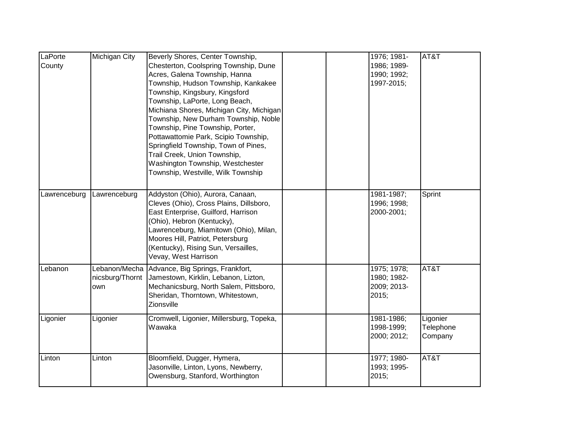| LaPorte      | <b>Michigan City</b> | Beverly Shores, Center Township,                                           | 1976; 1981-               | AT&T                 |
|--------------|----------------------|----------------------------------------------------------------------------|---------------------------|----------------------|
| County       |                      | Chesterton, Coolspring Township, Dune                                      | 1986; 1989-               |                      |
|              |                      | Acres, Galena Township, Hanna<br>Township, Hudson Township, Kankakee       | 1990; 1992;<br>1997-2015; |                      |
|              |                      | Township, Kingsbury, Kingsford                                             |                           |                      |
|              |                      | Township, LaPorte, Long Beach,                                             |                           |                      |
|              |                      | Michiana Shores, Michigan City, Michigan                                   |                           |                      |
|              |                      | Township, New Durham Township, Noble                                       |                           |                      |
|              |                      | Township, Pine Township, Porter,                                           |                           |                      |
|              |                      | Pottawattomie Park, Scipio Township,                                       |                           |                      |
|              |                      | Springfield Township, Town of Pines,                                       |                           |                      |
|              |                      | Trail Creek, Union Township,                                               |                           |                      |
|              |                      | Washington Township, Westchester                                           |                           |                      |
|              |                      | Township, Westville, Wilk Township                                         |                           |                      |
| Lawrenceburg | Lawrenceburg         | Addyston (Ohio), Aurora, Canaan,                                           | 1981-1987;                | Sprint               |
|              |                      | Cleves (Ohio), Cross Plains, Dillsboro,                                    | 1996; 1998;               |                      |
|              |                      | East Enterprise, Guilford, Harrison                                        | 2000-2001;                |                      |
|              |                      | (Ohio), Hebron (Kentucky),                                                 |                           |                      |
|              |                      | Lawrenceburg, Miamitown (Ohio), Milan,<br>Moores Hill, Patriot, Petersburg |                           |                      |
|              |                      | (Kentucky), Rising Sun, Versailles,                                        |                           |                      |
|              |                      | Vevay, West Harrison                                                       |                           |                      |
| Lebanon      | Lebanon/Mecha        | Advance, Big Springs, Frankfort,                                           | 1975; 1978;               | AT&T                 |
|              | nicsburg/Thornt      | Jamestown, Kirklin, Lebanon, Lizton,                                       | 1980; 1982-               |                      |
|              | own                  | Mechanicsburg, North Salem, Pittsboro,                                     | 2009; 2013-               |                      |
|              |                      | Sheridan, Thorntown, Whitestown,                                           | 2015;                     |                      |
|              |                      | Zionsville                                                                 |                           |                      |
| Ligonier     | Ligonier             | Cromwell, Ligonier, Millersburg, Topeka,                                   | 1981-1986;<br>1998-1999;  | Ligonier             |
|              |                      | Wawaka                                                                     | 2000; 2012;               | Telephone<br>Company |
|              |                      |                                                                            |                           |                      |
| Linton       | Linton               | Bloomfield, Dugger, Hymera,                                                | 1977; 1980-               | AT&T                 |
|              |                      | Jasonville, Linton, Lyons, Newberry,                                       | 1993; 1995-               |                      |
|              |                      | Owensburg, Stanford, Worthington                                           | 2015;                     |                      |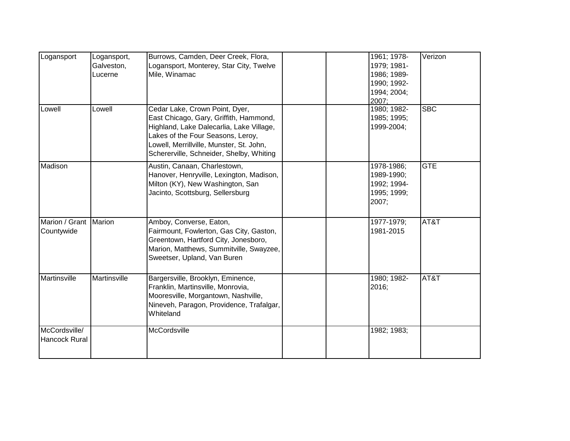| Logansport                     | Logansport,<br>Galveston,<br>Lucerne | Burrows, Camden, Deer Creek, Flora,<br>Logansport, Monterey, Star City, Twelve<br>Mile, Winamac                                                                                                                                                   | 1961; 1978-<br>1979; 1981-<br>1986; 1989-<br>1990; 1992-<br>1994; 2004;<br>2007: | Verizon    |
|--------------------------------|--------------------------------------|---------------------------------------------------------------------------------------------------------------------------------------------------------------------------------------------------------------------------------------------------|----------------------------------------------------------------------------------|------------|
| Lowell                         | Lowell                               | Cedar Lake, Crown Point, Dyer,<br>East Chicago, Gary, Griffith, Hammond,<br>Highland, Lake Dalecarlia, Lake Village,<br>Lakes of the Four Seasons, Leroy,<br>Lowell, Merrillville, Munster, St. John,<br>Schererville, Schneider, Shelby, Whiting | 1980; 1982-<br>1985; 1995;<br>1999-2004;                                         | <b>SBC</b> |
| Madison                        |                                      | Austin, Canaan, Charlestown,<br>Hanover, Henryville, Lexington, Madison,<br>Milton (KY), New Washington, San<br>Jacinto, Scottsburg, Sellersburg                                                                                                  | 1978-1986;<br>1989-1990;<br>1992; 1994-<br>1995; 1999;<br>2007;                  | <b>GTE</b> |
| Marion / Grant<br>Countywide   | Marion                               | Amboy, Converse, Eaton,<br>Fairmount, Fowlerton, Gas City, Gaston,<br>Greentown, Hartford City, Jonesboro,<br>Marion, Matthews, Summitville, Swayzee,<br>Sweetser, Upland, Van Buren                                                              | 1977-1979;<br>1981-2015                                                          | AT&T       |
| Martinsville                   | Martinsville                         | Bargersville, Brooklyn, Eminence,<br>Franklin, Martinsville, Monrovia,<br>Mooresville, Morgantown, Nashville,<br>Nineveh, Paragon, Providence, Trafalgar,<br>Whiteland                                                                            | 1980; 1982-<br>2016;                                                             | AT&T       |
| McCordsville/<br>Hancock Rural |                                      | McCordsville                                                                                                                                                                                                                                      | 1982; 1983;                                                                      |            |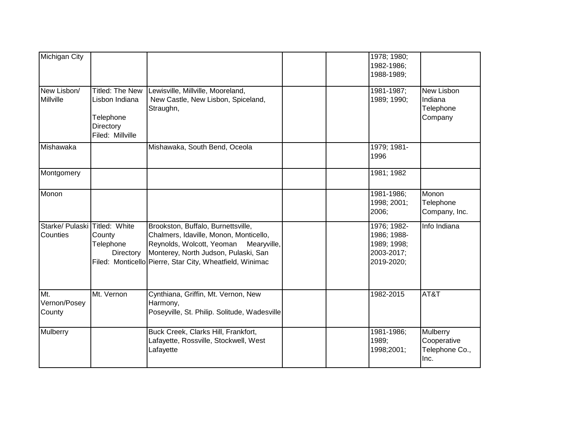| <b>Michigan City</b>                      |                                                                                        |                                                                                                                                                                                                                           |  | 1978; 1980;<br>1982-1986;<br>1988-1989;                               |                                                   |
|-------------------------------------------|----------------------------------------------------------------------------------------|---------------------------------------------------------------------------------------------------------------------------------------------------------------------------------------------------------------------------|--|-----------------------------------------------------------------------|---------------------------------------------------|
| New Lisbon/<br>Millville                  | <b>Titled: The New</b><br>Lisbon Indiana<br>Telephone<br>Directory<br>Filed: Millville | Lewisville, Millville, Mooreland,<br>New Castle, New Lisbon, Spiceland,<br>Straughn,                                                                                                                                      |  | 1981-1987;<br>1989; 1990;                                             | New Lisbon<br>Indiana<br>Telephone<br>Company     |
| Mishawaka                                 |                                                                                        | Mishawaka, South Bend, Oceola                                                                                                                                                                                             |  | 1979; 1981-<br>1996                                                   |                                                   |
| Montgomery                                |                                                                                        |                                                                                                                                                                                                                           |  | 1981; 1982                                                            |                                                   |
| Monon                                     |                                                                                        |                                                                                                                                                                                                                           |  | 1981-1986;<br>1998; 2001;<br>2006;                                    | Monon<br>Telephone<br>Company, Inc.               |
| Starke/ Pulaski Titled: White<br>Counties | County<br>Telephone<br>Directory                                                       | Brookston, Buffalo, Burnettsville,<br>Chalmers, Idaville, Monon, Monticello,<br>Reynolds, Wolcott, Yeoman Mearyville,<br>Monterey, North Judson, Pulaski, San<br>Filed: Monticello Pierre, Star City, Wheatfield, Winimac |  | 1976; 1982-<br>1986; 1988-<br>1989; 1998;<br>2003-2017;<br>2019-2020; | Info Indiana                                      |
| Mt.<br>Vernon/Posey<br>County             | Mt. Vernon                                                                             | Cynthiana, Griffin, Mt. Vernon, New<br>Harmony,<br>Poseyville, St. Philip. Solitude, Wadesville                                                                                                                           |  | 1982-2015                                                             | AT&T                                              |
| Mulberry                                  |                                                                                        | Buck Creek, Clarks Hill, Frankfort,<br>Lafayette, Rossville, Stockwell, West<br>Lafayette                                                                                                                                 |  | 1981-1986;<br>1989;<br>1998;2001;                                     | Mulberry<br>Cooperative<br>Telephone Co.,<br>Inc. |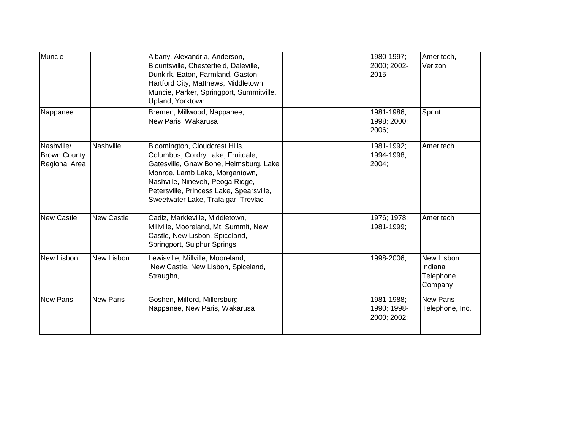| Muncie                                             |                   | Albany, Alexandria, Anderson,<br>Blountsville, Chesterfield, Daleville,<br>Dunkirk, Eaton, Farmland, Gaston,<br>Hartford City, Matthews, Middletown,<br>Muncie, Parker, Springport, Summitville,<br>Upland, Yorktown                                                   |  | 1980-1997;<br>2000; 2002-<br>2015        | Ameritech,<br>Verizon                                |
|----------------------------------------------------|-------------------|------------------------------------------------------------------------------------------------------------------------------------------------------------------------------------------------------------------------------------------------------------------------|--|------------------------------------------|------------------------------------------------------|
| Nappanee                                           |                   | Bremen, Millwood, Nappanee,<br>New Paris, Wakarusa                                                                                                                                                                                                                     |  | 1981-1986;<br>1998; 2000;<br>2006;       | Sprint                                               |
| Nashville/<br><b>Brown County</b><br>Regional Area | Nashville         | Bloomington, Cloudcrest Hills,<br>Columbus, Cordry Lake, Fruitdale,<br>Gatesville, Gnaw Bone, Helmsburg, Lake<br>Monroe, Lamb Lake, Morgantown,<br>Nashville, Nineveh, Peoga Ridge,<br>Petersville, Princess Lake, Spearsville,<br>Sweetwater Lake, Trafalgar, Trevlac |  | 1981-1992;<br>1994-1998;<br>2004:        | Ameritech                                            |
| <b>New Castle</b>                                  | <b>New Castle</b> | Cadiz, Markleville, Middletown,<br>Millville, Mooreland, Mt. Summit, New<br>Castle, New Lisbon, Spiceland,<br>Springport, Sulphur Springs                                                                                                                              |  | 1976; 1978;<br>1981-1999;                | Ameritech                                            |
| New Lisbon                                         | New Lisbon        | Lewisville, Millville, Mooreland,<br>New Castle, New Lisbon, Spiceland,<br>Straughn,                                                                                                                                                                                   |  | 1998-2006;                               | <b>New Lisbon</b><br>Indiana<br>Telephone<br>Company |
| <b>New Paris</b>                                   | <b>New Paris</b>  | Goshen, Milford, Millersburg,<br>Nappanee, New Paris, Wakarusa                                                                                                                                                                                                         |  | 1981-1988;<br>1990; 1998-<br>2000; 2002; | <b>New Paris</b><br>Telephone, Inc.                  |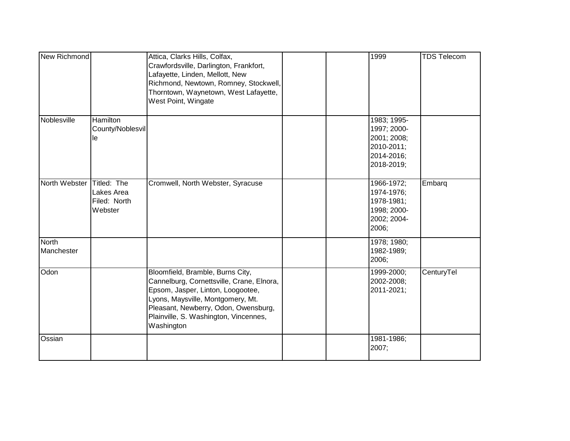| <b>New Richmond</b>        |                                       | Attica, Clarks Hills, Colfax,<br>Crawfordsville, Darlington, Frankfort,<br>Lafayette, Linden, Mellott, New<br>Richmond, Newtown, Romney, Stockwell,<br>Thorntown, Waynetown, West Lafayette,<br>West Point, Wingate                                    |  | 1999                                                                                | <b>TDS Telecom</b> |
|----------------------------|---------------------------------------|--------------------------------------------------------------------------------------------------------------------------------------------------------------------------------------------------------------------------------------------------------|--|-------------------------------------------------------------------------------------|--------------------|
| Noblesville                | Hamilton<br>County/Noblesvil<br>le    |                                                                                                                                                                                                                                                        |  | 1983; 1995-<br>1997; 2000-<br>2001; 2008;<br>2010-2011;<br>2014-2016;<br>2018-2019; |                    |
| North Webster Titled: The  | Lakes Area<br>Filed: North<br>Webster | Cromwell, North Webster, Syracuse                                                                                                                                                                                                                      |  | 1966-1972;<br>1974-1976;<br>1978-1981;<br>1998; 2000-<br>2002; 2004-<br>2006;       | Embarg             |
| <b>North</b><br>Manchester |                                       |                                                                                                                                                                                                                                                        |  | 1978; 1980;<br>1982-1989;<br>2006;                                                  |                    |
| Odon                       |                                       | Bloomfield, Bramble, Burns City,<br>Cannelburg, Cornettsville, Crane, Elnora,<br>Epsom, Jasper, Linton, Loogootee,<br>Lyons, Maysville, Montgomery, Mt.<br>Pleasant, Newberry, Odon, Owensburg,<br>Plainville, S. Washington, Vincennes,<br>Washington |  | 1999-2000;<br>2002-2008;<br>2011-2021;                                              | CenturyTel         |
| Ossian                     |                                       |                                                                                                                                                                                                                                                        |  | 1981-1986;<br>2007;                                                                 |                    |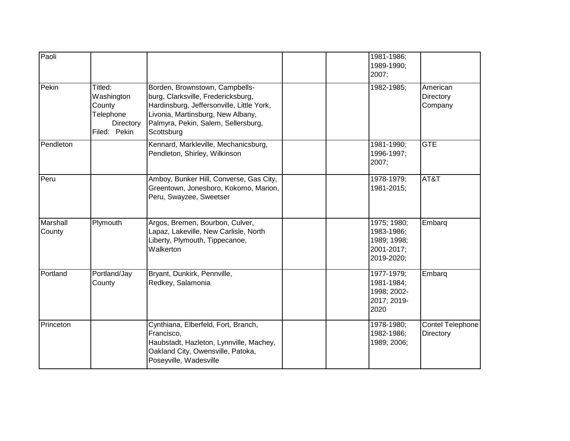| Paoli              |                                                                           |                                                                                                                                                                                                             |  | 1981-1986;<br>1989-1990;<br>2007;                                    |                                  |
|--------------------|---------------------------------------------------------------------------|-------------------------------------------------------------------------------------------------------------------------------------------------------------------------------------------------------------|--|----------------------------------------------------------------------|----------------------------------|
| Pekin              | Titled:<br>Washington<br>County<br>Telephone<br>Directory<br>Filed: Pekin | Borden, Brownstown, Campbells-<br>burg, Clarksville, Fredericksburg,<br>Hardinsburg, Jeffersonville, Little York,<br>Livonia, Martinsburg, New Albany,<br>Palmyra, Pekin, Salem, Sellersburg,<br>Scottsburg |  | 1982-1985;                                                           | American<br>Directory<br>Company |
| Pendleton          |                                                                           | Kennard, Markleville, Mechanicsburg,<br>Pendleton, Shirley, Wilkinson                                                                                                                                       |  | 1981-1990;<br>1996-1997;<br>2007;                                    | <b>GTE</b>                       |
| Peru               |                                                                           | Amboy, Bunker Hill, Converse, Gas City,<br>Greentown, Jonesboro, Kokomo, Marion,<br>Peru, Swayzee, Sweetser                                                                                                 |  | 1978-1979;<br>1981-2015;                                             | AT&T                             |
| Marshall<br>County | Plymouth                                                                  | Argos, Bremen, Bourbon, Culver,<br>Lapaz, Lakeville, New Carlisle, North<br>Liberty, Plymouth, Tippecanoe,<br>Walkerton                                                                                     |  | 1975; 1980;<br>1983-1986;<br>1989; 1998;<br>2001-2017;<br>2019-2020; | Embarg                           |
| Portland           | Portland/Jay<br>County                                                    | Bryant, Dunkirk, Pennville,<br>Redkey, Salamonia                                                                                                                                                            |  | 1977-1979;<br>1981-1984;<br>1998; 2002-<br>2017; 2019-<br>2020       | Embarg                           |
| Princeton          |                                                                           | Cynthiana, Elberfeld, Fort, Branch,<br>Francisco,<br>Haubstadt, Hazleton, Lynnville, Machey,<br>Oakland City, Owensville, Patoka,<br>Poseyville, Wadesville                                                 |  | 1978-1980;<br>1982-1986;<br>1989; 2006;                              | Contel Telephone<br>Directory    |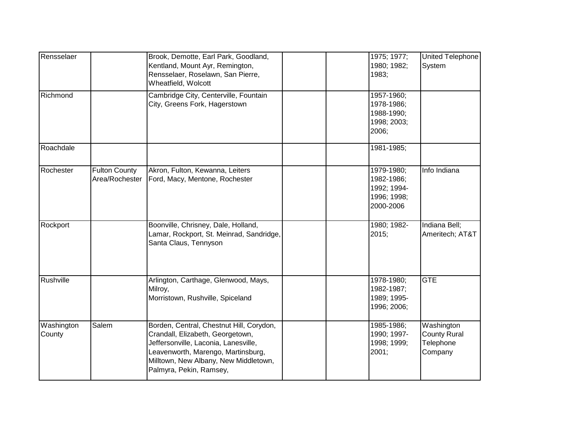| Rensselaer           |                                        | Brook, Demotte, Earl Park, Goodland,<br>Kentland, Mount Ayr, Remington,<br>Rensselaer, Roselawn, San Pierre,<br>Wheatfield, Wolcott                                                                                            |  | 1975; 1977;<br>1980; 1982;<br>1983:                                 | United Telephone<br>System                                |
|----------------------|----------------------------------------|--------------------------------------------------------------------------------------------------------------------------------------------------------------------------------------------------------------------------------|--|---------------------------------------------------------------------|-----------------------------------------------------------|
| Richmond             |                                        | Cambridge City, Centerville, Fountain<br>City, Greens Fork, Hagerstown                                                                                                                                                         |  | 1957-1960;<br>1978-1986;<br>1988-1990;<br>1998; 2003;<br>2006;      |                                                           |
| Roachdale            |                                        |                                                                                                                                                                                                                                |  | 1981-1985;                                                          |                                                           |
| Rochester            | <b>Fulton County</b><br>Area/Rochester | Akron, Fulton, Kewanna, Leiters<br>Ford, Macy, Mentone, Rochester                                                                                                                                                              |  | 1979-1980;<br>1982-1986;<br>1992; 1994-<br>1996; 1998;<br>2000-2006 | Info Indiana                                              |
| Rockport             |                                        | Boonville, Chrisney, Dale, Holland,<br>Lamar, Rockport, St. Meinrad, Sandridge,<br>Santa Claus, Tennyson                                                                                                                       |  | 1980; 1982-<br>2015;                                                | Indiana Bell;<br>Ameritech; AT&T                          |
| Rushville            |                                        | Arlington, Carthage, Glenwood, Mays,<br>Milroy,<br>Morristown, Rushville, Spiceland                                                                                                                                            |  | 1978-1980;<br>1982-1987;<br>1989; 1995-<br>1996; 2006;              | <b>GTE</b>                                                |
| Washington<br>County | Salem                                  | Borden, Central, Chestnut Hill, Corydon,<br>Crandall, Elizabeth, Georgetown,<br>Jeffersonville, Laconia, Lanesville,<br>Leavenworth, Marengo, Martinsburg,<br>Milltown, New Albany, New Middletown,<br>Palmyra, Pekin, Ramsey, |  | 1985-1986;<br>1990; 1997-<br>1998; 1999;<br>2001;                   | Washington<br><b>County Rural</b><br>Telephone<br>Company |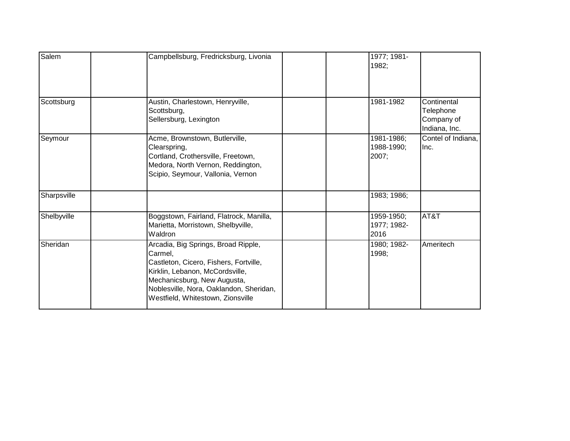| Salem       | Campbellsburg, Fredricksburg, Livonia                                                                                                                                                                                                      | 1977; 1981-<br>1982;              |                                                         |
|-------------|--------------------------------------------------------------------------------------------------------------------------------------------------------------------------------------------------------------------------------------------|-----------------------------------|---------------------------------------------------------|
| Scottsburg  | Austin, Charlestown, Henryville,<br>Scottsburg,<br>Sellersburg, Lexington                                                                                                                                                                  | 1981-1982                         | Continental<br>Telephone<br>Company of<br>Indiana, Inc. |
| Seymour     | Acme, Brownstown, Butlerville,<br>Clearspring,<br>Cortland, Crothersville, Freetown,<br>Medora, North Vernon, Reddington,<br>Scipio, Seymour, Vallonia, Vernon                                                                             | 1981-1986;<br>1988-1990;<br>2007; | Contel of Indiana,<br>Inc.                              |
| Sharpsville |                                                                                                                                                                                                                                            | 1983; 1986;                       |                                                         |
| Shelbyville | Boggstown, Fairland, Flatrock, Manilla,<br>Marietta, Morristown, Shelbyville,<br>Waldron                                                                                                                                                   | 1959-1950;<br>1977; 1982-<br>2016 | AT&T                                                    |
| Sheridan    | Arcadia, Big Springs, Broad Ripple,<br>Carmel,<br>Castleton, Cicero, Fishers, Fortville,<br>Kirklin, Lebanon, McCordsville,<br>Mechanicsburg, New Augusta,<br>Noblesville, Nora, Oaklandon, Sheridan,<br>Westfield, Whitestown, Zionsville | 1980; 1982-<br>1998;              | Ameritech                                               |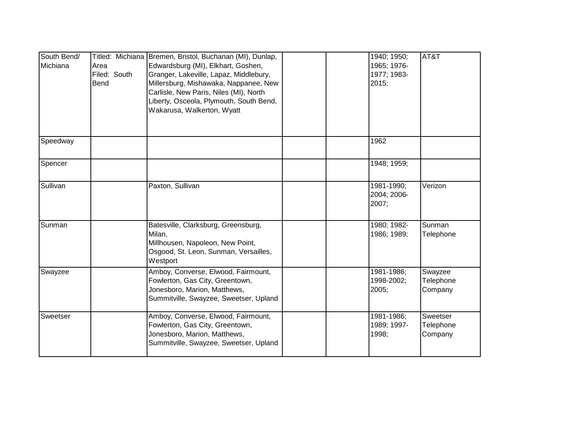| South Bend/<br>Michiana | Area<br>Filed: South<br>Bend | Titled: Michiana Bremen, Bristol, Buchanan (MI), Dunlap,<br>Edwardsburg (MI), Elkhart, Goshen,<br>Granger, Lakeville, Lapaz, Middlebury,<br>Millersburg, Mishawaka, Nappanee, New<br>Carlisle, New Paris, Niles (MI), North<br>Liberty, Osceola, Plymouth, South Bend,<br>Wakarusa, Walkerton, Wyatt |  | 1940; 1950;<br>1965; 1976-<br>1977; 1983-<br>2015; | AT&T                             |
|-------------------------|------------------------------|------------------------------------------------------------------------------------------------------------------------------------------------------------------------------------------------------------------------------------------------------------------------------------------------------|--|----------------------------------------------------|----------------------------------|
| Speedway                |                              |                                                                                                                                                                                                                                                                                                      |  | 1962                                               |                                  |
| Spencer                 |                              |                                                                                                                                                                                                                                                                                                      |  | 1948; 1959;                                        |                                  |
| Sullivan                |                              | Paxton, Sullivan                                                                                                                                                                                                                                                                                     |  | 1981-1990;<br>2004; 2006-<br>2007;                 | Verizon                          |
| Sunman                  |                              | Batesville, Clarksburg, Greensburg,<br>Milan,<br>Millhousen, Napoleon, New Point,<br>Osgood, St. Leon, Sunman, Versailles,<br>Westport                                                                                                                                                               |  | 1980; 1982-<br>1986; 1989;                         | Sunman<br>Telephone              |
| Swayzee                 |                              | Amboy, Converse, Elwood, Fairmount,<br>Fowlerton, Gas City, Greentown,<br>Jonesboro, Marion, Matthews,<br>Summitville, Swayzee, Sweetser, Upland                                                                                                                                                     |  | 1981-1986;<br>1998-2002;<br>2005;                  | Swayzee<br>Telephone<br>Company  |
| Sweetser                |                              | Amboy, Converse, Elwood, Fairmount,<br>Fowlerton, Gas City, Greentown,<br>Jonesboro, Marion, Matthews,<br>Summitville, Swayzee, Sweetser, Upland                                                                                                                                                     |  | 1981-1986;<br>1989; 1997-<br>1998;                 | Sweetser<br>Telephone<br>Company |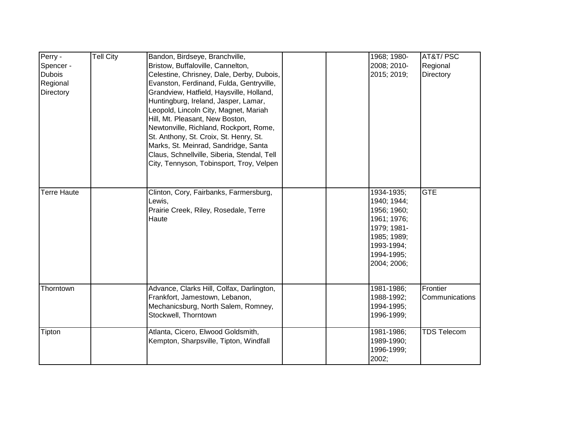| Perry -            | <b>Tell City</b> | Bandon, Birdseye, Branchville,              | 1968; 1980- | AT&T/PSC           |
|--------------------|------------------|---------------------------------------------|-------------|--------------------|
| Spencer -          |                  | Bristow, Buffaloville, Cannelton,           | 2008; 2010- | Regional           |
| <b>Dubois</b>      |                  | Celestine, Chrisney, Dale, Derby, Dubois,   | 2015; 2019; | Directory          |
| Regional           |                  | Evanston, Ferdinand, Fulda, Gentryville,    |             |                    |
| Directory          |                  | Grandview, Hatfield, Haysville, Holland,    |             |                    |
|                    |                  | Huntingburg, Ireland, Jasper, Lamar,        |             |                    |
|                    |                  | Leopold, Lincoln City, Magnet, Mariah       |             |                    |
|                    |                  | Hill, Mt. Pleasant, New Boston,             |             |                    |
|                    |                  | Newtonville, Richland, Rockport, Rome,      |             |                    |
|                    |                  | St. Anthony, St. Croix, St. Henry, St.      |             |                    |
|                    |                  | Marks, St. Meinrad, Sandridge, Santa        |             |                    |
|                    |                  | Claus, Schnellville, Siberia, Stendal, Tell |             |                    |
|                    |                  | City, Tennyson, Tobinsport, Troy, Velpen    |             |                    |
|                    |                  |                                             |             |                    |
| <b>Terre Haute</b> |                  | Clinton, Cory, Fairbanks, Farmersburg,      | 1934-1935;  | <b>GTE</b>         |
|                    |                  | Lewis,                                      | 1940; 1944; |                    |
|                    |                  | Prairie Creek, Riley, Rosedale, Terre       | 1956; 1960; |                    |
|                    |                  | Haute                                       | 1961; 1976; |                    |
|                    |                  |                                             | 1979; 1981- |                    |
|                    |                  |                                             | 1985; 1989; |                    |
|                    |                  |                                             | 1993-1994;  |                    |
|                    |                  |                                             | 1994-1995;  |                    |
|                    |                  |                                             | 2004; 2006; |                    |
|                    |                  |                                             |             |                    |
| Thorntown          |                  | Advance, Clarks Hill, Colfax, Darlington,   | 1981-1986;  | Frontier           |
|                    |                  | Frankfort, Jamestown, Lebanon,              | 1988-1992;  | Communications     |
|                    |                  | Mechanicsburg, North Salem, Romney,         | 1994-1995;  |                    |
|                    |                  | Stockwell, Thorntown                        | 1996-1999;  |                    |
| Tipton             |                  | Atlanta, Cicero, Elwood Goldsmith,          | 1981-1986;  | <b>TDS Telecom</b> |
|                    |                  | Kempton, Sharpsville, Tipton, Windfall      | 1989-1990;  |                    |
|                    |                  |                                             | 1996-1999;  |                    |
|                    |                  |                                             | 2002;       |                    |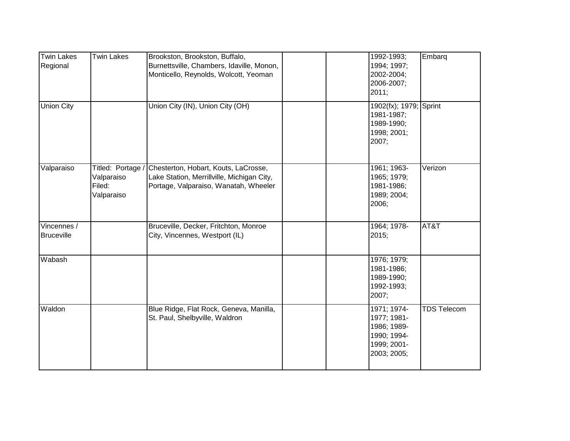| <b>Twin Lakes</b><br>Regional    | <b>Twin Lakes</b>                                       | Brookston, Brookston, Buffalo,<br>Burnettsville, Chambers, Idaville, Monon,<br>Monticello, Reynolds, Wolcott, Yeoman        |  | 1992-1993;<br>1994; 1997;<br>2002-2004;<br>2006-2007;<br>2011;                         | Embarg             |
|----------------------------------|---------------------------------------------------------|-----------------------------------------------------------------------------------------------------------------------------|--|----------------------------------------------------------------------------------------|--------------------|
| <b>Union City</b>                |                                                         | Union City (IN), Union City (OH)                                                                                            |  | 1902(fx); 1979; Sprint<br>1981-1987;<br>1989-1990;<br>1998; 2001;<br>2007;             |                    |
| Valparaiso                       | Titled: Portage /<br>Valparaiso<br>Filed:<br>Valparaiso | Chesterton, Hobart, Kouts, LaCrosse,<br>Lake Station, Merrillville, Michigan City,<br>Portage, Valparaiso, Wanatah, Wheeler |  | 1961; 1963-<br>1965; 1979;<br>1981-1986;<br>1989; 2004;<br>2006;                       | Verizon            |
| Vincennes /<br><b>Bruceville</b> |                                                         | Bruceville, Decker, Fritchton, Monroe<br>City, Vincennes, Westport (IL)                                                     |  | 1964; 1978-<br>2015;                                                                   | AT&T               |
| Wabash                           |                                                         |                                                                                                                             |  | 1976; 1979;<br>1981-1986;<br>1989-1990;<br>1992-1993;<br>2007;                         |                    |
| Waldon                           |                                                         | Blue Ridge, Flat Rock, Geneva, Manilla,<br>St. Paul, Shelbyville, Waldron                                                   |  | 1971; 1974-<br>1977; 1981-<br>1986; 1989-<br>1990; 1994-<br>1999; 2001-<br>2003; 2005; | <b>TDS Telecom</b> |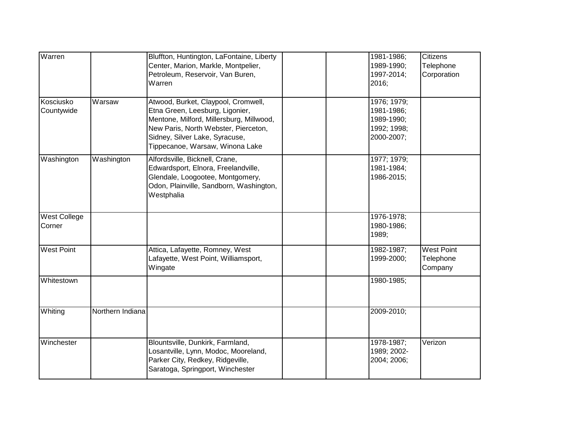| Warren                        |                  | Bluffton, Huntington, LaFontaine, Liberty<br>Center, Marion, Markle, Montpelier,<br>Petroleum, Reservoir, Van Buren,<br>Warren                                                                                                  | 1981-1986;<br>1989-1990;<br>1997-2014;<br>2016;                      | <b>Citizens</b><br>Telephone<br>Corporation |
|-------------------------------|------------------|---------------------------------------------------------------------------------------------------------------------------------------------------------------------------------------------------------------------------------|----------------------------------------------------------------------|---------------------------------------------|
| Kosciusko<br>Countywide       | Warsaw           | Atwood, Burket, Claypool, Cromwell,<br>Etna Green, Leesburg, Ligonier,<br>Mentone, Milford, Millersburg, Millwood,<br>New Paris, North Webster, Pierceton,<br>Sidney, Silver Lake, Syracuse,<br>Tippecanoe, Warsaw, Winona Lake | 1976; 1979;<br>1981-1986;<br>1989-1990;<br>1992; 1998;<br>2000-2007; |                                             |
| Washington                    | Washington       | Alfordsville, Bicknell, Crane,<br>Edwardsport, Elnora, Freelandville,<br>Glendale, Loogootee, Montgomery,<br>Odon, Plainville, Sandborn, Washington,<br>Westphalia                                                              | 1977; 1979;<br>1981-1984;<br>1986-2015;                              |                                             |
| <b>West College</b><br>Corner |                  |                                                                                                                                                                                                                                 | 1976-1978;<br>1980-1986;<br>1989;                                    |                                             |
| <b>West Point</b>             |                  | Attica, Lafayette, Romney, West<br>Lafayette, West Point, Williamsport,<br>Wingate                                                                                                                                              | 1982-1987;<br>1999-2000;                                             | <b>West Point</b><br>Telephone<br>Company   |
| Whitestown                    |                  |                                                                                                                                                                                                                                 | 1980-1985;                                                           |                                             |
| Whiting                       | Northern Indiana |                                                                                                                                                                                                                                 | 2009-2010;                                                           |                                             |
| Winchester                    |                  | Blountsville, Dunkirk, Farmland,<br>Losantville, Lynn, Modoc, Mooreland,<br>Parker City, Redkey, Ridgeville,<br>Saratoga, Springport, Winchester                                                                                | 1978-1987;<br>1989; 2002-<br>2004; 2006;                             | Verizon                                     |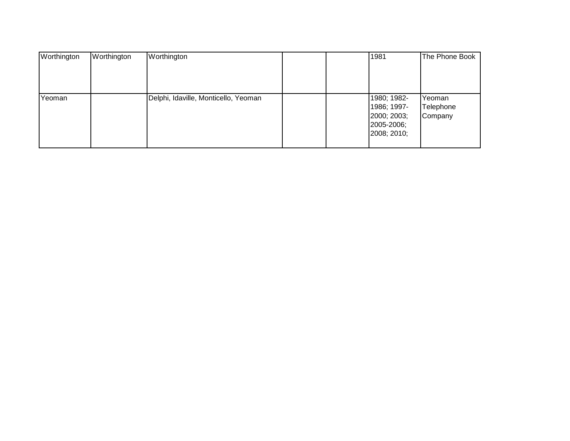| Worthington | Worthington | Worthington                          |  | 1981        | The Phone Book |
|-------------|-------------|--------------------------------------|--|-------------|----------------|
|             |             |                                      |  |             |                |
|             |             |                                      |  |             |                |
|             |             |                                      |  |             |                |
| Yeoman      |             | Delphi, Idaville, Monticello, Yeoman |  | 1980; 1982- | Yeoman         |
|             |             |                                      |  | 1986; 1997- | Telephone      |
|             |             |                                      |  | 2000; 2003; | Company        |
|             |             |                                      |  | 2005-2006;  |                |
|             |             |                                      |  | 2008; 2010; |                |
|             |             |                                      |  |             |                |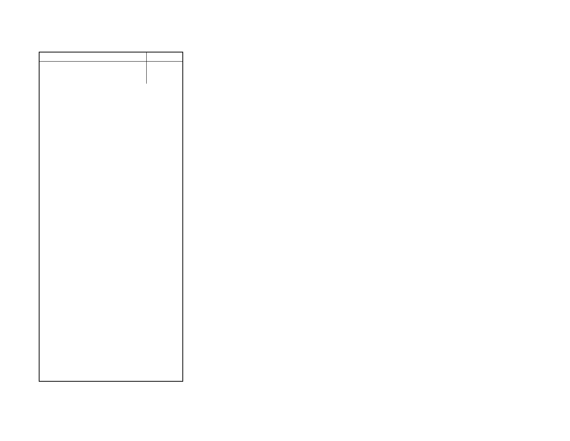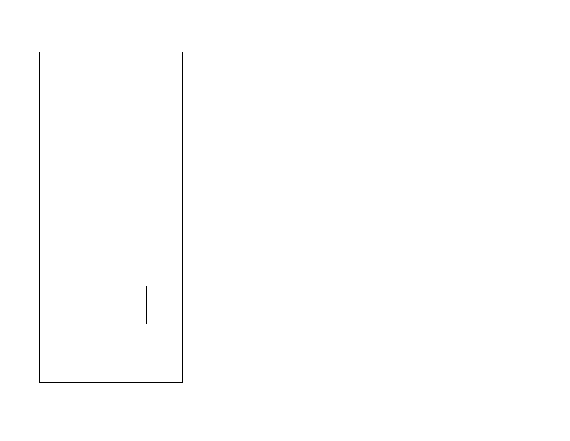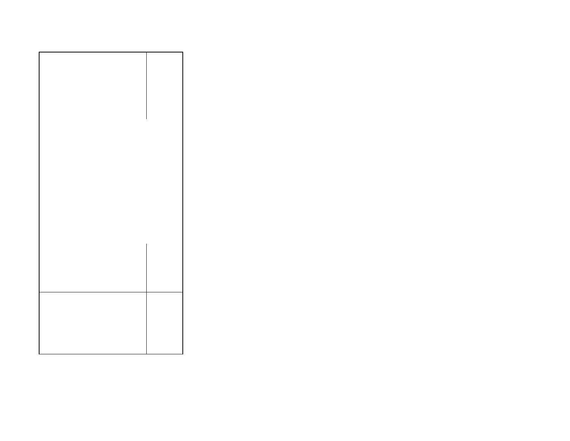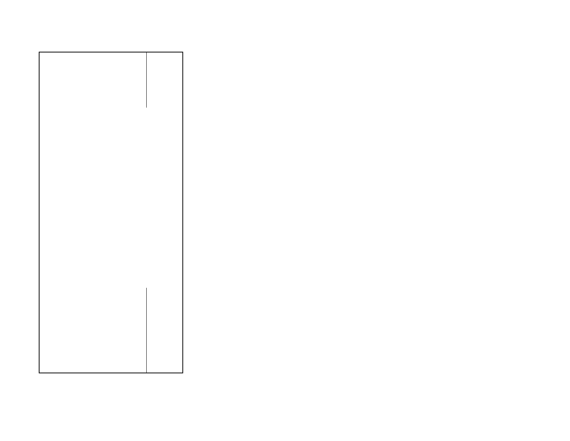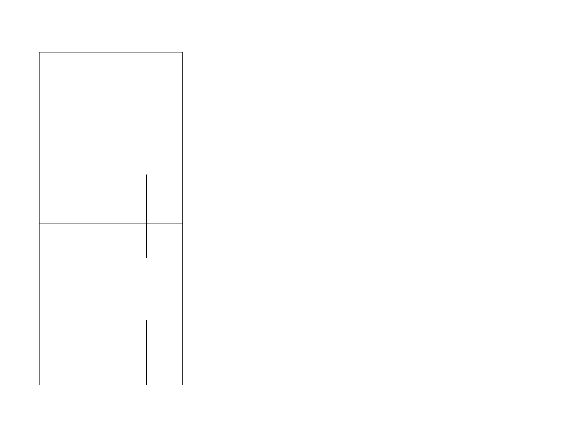